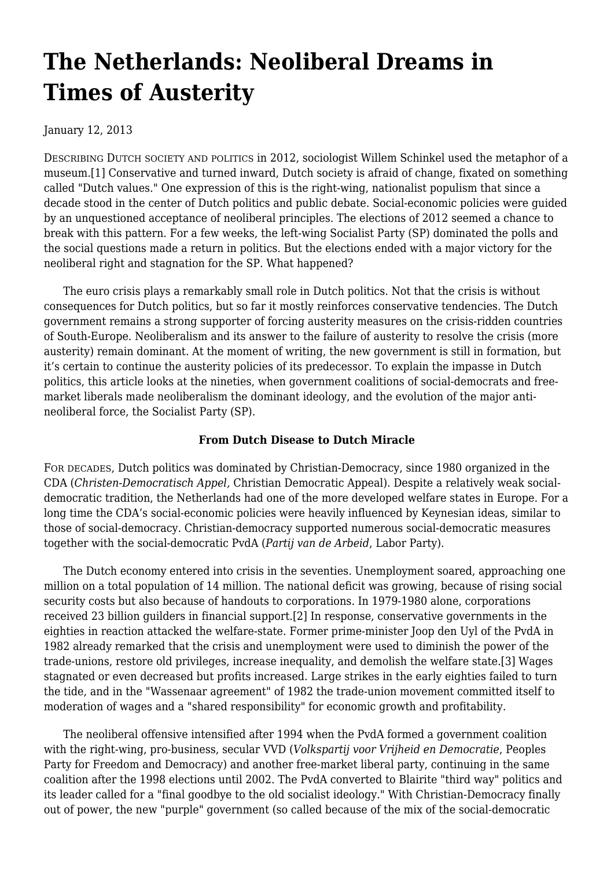# **[The Netherlands: Neoliberal Dreams in](https://newpol.org/issue_post/netherlands-neoliberal-dreams-times-austerity/) [Times of Austerity](https://newpol.org/issue_post/netherlands-neoliberal-dreams-times-austerity/)**

January 12, 2013

DESCRIBING DUTCH SOCIETY AND POLITICS in 2012, sociologist Willem Schinkel used the metaphor of a museum.[1] Conservative and turned inward, Dutch society is afraid of change, fixated on something called "Dutch values." One expression of this is the right-wing, nationalist populism that since a decade stood in the center of Dutch politics and public debate. Social-economic policies were guided by an unquestioned acceptance of neoliberal principles. The elections of 2012 seemed a chance to break with this pattern. For a few weeks, the left-wing Socialist Party (SP) dominated the polls and the social questions made a return in politics. But the elections ended with a major victory for the neoliberal right and stagnation for the SP. What happened?

 The euro crisis plays a remarkably small role in Dutch politics. Not that the crisis is without consequences for Dutch politics, but so far it mostly reinforces conservative tendencies. The Dutch government remains a strong supporter of forcing austerity measures on the crisis-ridden countries of South-Europe. Neoliberalism and its answer to the failure of austerity to resolve the crisis (more austerity) remain dominant. At the moment of writing, the new government is still in formation, but it's certain to continue the austerity policies of its predecessor. To explain the impasse in Dutch politics, this article looks at the nineties, when government coalitions of social-democrats and freemarket liberals made neoliberalism the dominant ideology, and the evolution of the major antineoliberal force, the Socialist Party (SP).

# **From Dutch Disease to Dutch Miracle**

FOR DECADES, Dutch politics was dominated by Christian-Democracy, since 1980 organized in the CDA (*Christen-Democratisch Appel,* Christian Democratic Appeal). Despite a relatively weak socialdemocratic tradition, the Netherlands had one of the more developed welfare states in Europe. For a long time the CDA's social-economic policies were heavily influenced by Keynesian ideas, similar to those of social-democracy. Christian-democracy supported numerous social-democratic measures together with the social-democratic PvdA (*Partij van de Arbeid*, Labor Party).

 The Dutch economy entered into crisis in the seventies. Unemployment soared, approaching one million on a total population of 14 million. The national deficit was growing, because of rising social security costs but also because of handouts to corporations. In 1979-1980 alone, corporations received 23 billion guilders in financial support.[2] In response, conservative governments in the eighties in reaction attacked the welfare-state. Former prime-minister Joop den Uyl of the PvdA in 1982 already remarked that the crisis and unemployment were used to diminish the power of the trade-unions, restore old privileges, increase inequality, and demolish the welfare state.[3] Wages stagnated or even decreased but profits increased. Large strikes in the early eighties failed to turn the tide, and in the "Wassenaar agreement" of 1982 the trade-union movement committed itself to moderation of wages and a "shared responsibility" for economic growth and profitability.

 The neoliberal offensive intensified after 1994 when the PvdA formed a government coalition with the right-wing, pro-business, secular VVD (*Volkspartij voor Vrijheid en Democratie*, Peoples Party for Freedom and Democracy) and another free-market liberal party, continuing in the same coalition after the 1998 elections until 2002. The PvdA converted to Blairite "third way" politics and its leader called for a "final goodbye to the old socialist ideology." With Christian-Democracy finally out of power, the new "purple" government (so called because of the mix of the social-democratic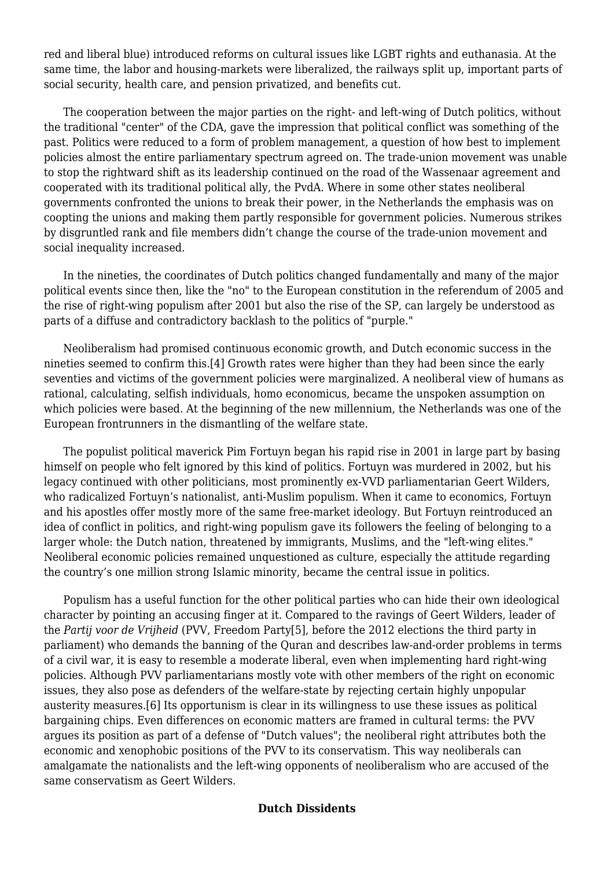red and liberal blue) introduced reforms on cultural issues like LGBT rights and euthanasia. At the same time, the labor and housing-markets were liberalized, the railways split up, important parts of social security, health care, and pension privatized, and benefits cut.

 The cooperation between the major parties on the right- and left-wing of Dutch politics, without the traditional "center" of the CDA, gave the impression that political conflict was something of the past. Politics were reduced to a form of problem management, a question of how best to implement policies almost the entire parliamentary spectrum agreed on. The trade-union movement was unable to stop the rightward shift as its leadership continued on the road of the Wassenaar agreement and cooperated with its traditional political ally, the PvdA. Where in some other states neoliberal governments confronted the unions to break their power, in the Netherlands the emphasis was on coopting the unions and making them partly responsible for government policies. Numerous strikes by disgruntled rank and file members didn't change the course of the trade-union movement and social inequality increased.

 In the nineties, the coordinates of Dutch politics changed fundamentally and many of the major political events since then, like the "no" to the European constitution in the referendum of 2005 and the rise of right-wing populism after 2001 but also the rise of the SP, can largely be understood as parts of a diffuse and contradictory backlash to the politics of "purple."

 Neoliberalism had promised continuous economic growth, and Dutch economic success in the nineties seemed to confirm this.[4] Growth rates were higher than they had been since the early seventies and victims of the government policies were marginalized. A neoliberal view of humans as rational, calculating, selfish individuals, homo economicus, became the unspoken assumption on which policies were based. At the beginning of the new millennium, the Netherlands was one of the European frontrunners in the dismantling of the welfare state.

 The populist political maverick Pim Fortuyn began his rapid rise in 2001 in large part by basing himself on people who felt ignored by this kind of politics. Fortuyn was murdered in 2002, but his legacy continued with other politicians, most prominently ex-VVD parliamentarian Geert Wilders, who radicalized Fortuyn's nationalist, anti-Muslim populism. When it came to economics, Fortuyn and his apostles offer mostly more of the same free-market ideology. But Fortuyn reintroduced an idea of conflict in politics, and right-wing populism gave its followers the feeling of belonging to a larger whole: the Dutch nation, threatened by immigrants, Muslims, and the "left-wing elites." Neoliberal economic policies remained unquestioned as culture, especially the attitude regarding the country's one million strong Islamic minority, became the central issue in politics.

 Populism has a useful function for the other political parties who can hide their own ideological character by pointing an accusing finger at it. Compared to the ravings of Geert Wilders, leader of the *Partij voor de Vrijheid* (PVV, Freedom Party[5], before the 2012 elections the third party in parliament) who demands the banning of the Quran and describes law-and-order problems in terms of a civil war, it is easy to resemble a moderate liberal, even when implementing hard right-wing policies. Although PVV parliamentarians mostly vote with other members of the right on economic issues, they also pose as defenders of the welfare-state by rejecting certain highly unpopular austerity measures.[6] Its opportunism is clear in its willingness to use these issues as political bargaining chips. Even differences on economic matters are framed in cultural terms: the PVV argues its position as part of a defense of "Dutch values"; the neoliberal right attributes both the economic and xenophobic positions of the PVV to its conservatism. This way neoliberals can amalgamate the nationalists and the left-wing opponents of neoliberalism who are accused of the same conservatism as Geert Wilders.

#### **Dutch Dissidents**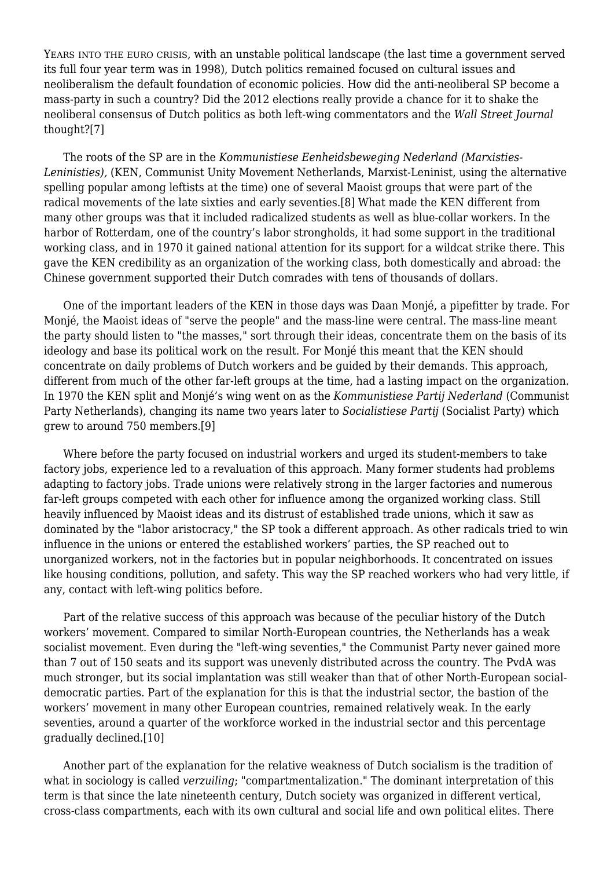YEARS INTO THE EURO CRISIS, with an unstable political landscape (the last time a government served its full four year term was in 1998), Dutch politics remained focused on cultural issues and neoliberalism the default foundation of economic policies. How did the anti-neoliberal SP become a mass-party in such a country? Did the 2012 elections really provide a chance for it to shake the neoliberal consensus of Dutch politics as both left-wing commentators and the *Wall Street Journal* thought?[7]

 The roots of the SP are in the *Kommunistiese Eenheidsbeweging Nederland (Marxisties-Leninisties),* (KEN, Communist Unity Movement Netherlands, Marxist-Leninist, using the alternative spelling popular among leftists at the time) one of several Maoist groups that were part of the radical movements of the late sixties and early seventies.[8] What made the KEN different from many other groups was that it included radicalized students as well as blue-collar workers. In the harbor of Rotterdam, one of the country's labor strongholds, it had some support in the traditional working class, and in 1970 it gained national attention for its support for a wildcat strike there. This gave the KEN credibility as an organization of the working class, both domestically and abroad: the Chinese government supported their Dutch comrades with tens of thousands of dollars.

 One of the important leaders of the KEN in those days was Daan Monjé, a pipefitter by trade. For Monjé, the Maoist ideas of "serve the people" and the mass-line were central. The mass-line meant the party should listen to "the masses," sort through their ideas, concentrate them on the basis of its ideology and base its political work on the result. For Monjé this meant that the KEN should concentrate on daily problems of Dutch workers and be guided by their demands. This approach, different from much of the other far-left groups at the time, had a lasting impact on the organization. In 1970 the KEN split and Monjé's wing went on as the *Kommunistiese Partij Nederland* (Communist Party Netherlands), changing its name two years later to *Socialistiese Partij* (Socialist Party) which grew to around 750 members.[9]

 Where before the party focused on industrial workers and urged its student-members to take factory jobs, experience led to a revaluation of this approach. Many former students had problems adapting to factory jobs. Trade unions were relatively strong in the larger factories and numerous far-left groups competed with each other for influence among the organized working class. Still heavily influenced by Maoist ideas and its distrust of established trade unions, which it saw as dominated by the "labor aristocracy," the SP took a different approach. As other radicals tried to win influence in the unions or entered the established workers' parties, the SP reached out to unorganized workers, not in the factories but in popular neighborhoods. It concentrated on issues like housing conditions, pollution, and safety. This way the SP reached workers who had very little, if any, contact with left-wing politics before.

 Part of the relative success of this approach was because of the peculiar history of the Dutch workers' movement. Compared to similar North-European countries, the Netherlands has a weak socialist movement. Even during the "left-wing seventies," the Communist Party never gained more than 7 out of 150 seats and its support was unevenly distributed across the country. The PvdA was much stronger, but its social implantation was still weaker than that of other North-European socialdemocratic parties. Part of the explanation for this is that the industrial sector, the bastion of the workers' movement in many other European countries, remained relatively weak. In the early seventies, around a quarter of the workforce worked in the industrial sector and this percentage gradually declined.[10]

 Another part of the explanation for the relative weakness of Dutch socialism is the tradition of what in sociology is called *verzuiling*; "compartmentalization." The dominant interpretation of this term is that since the late nineteenth century, Dutch society was organized in different vertical, cross-class compartments, each with its own cultural and social life and own political elites. There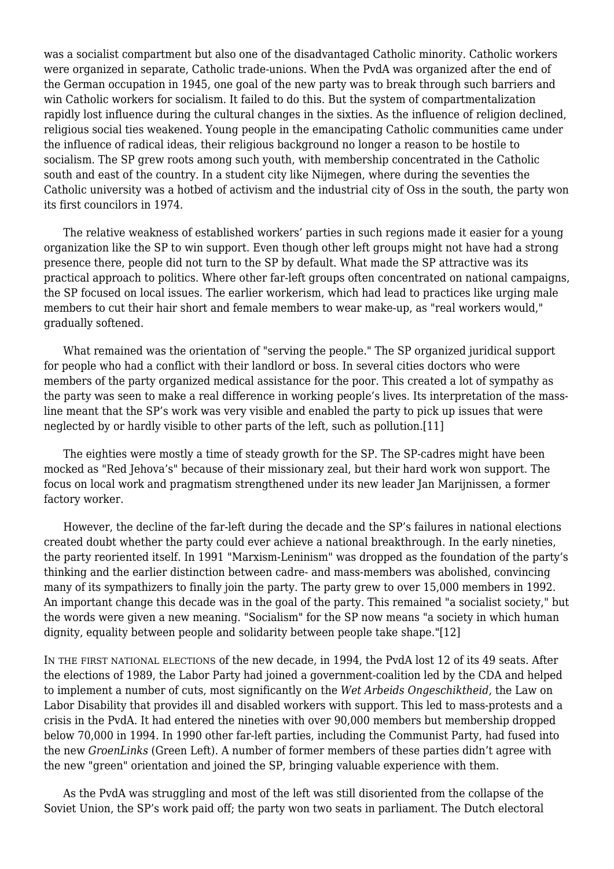was a socialist compartment but also one of the disadvantaged Catholic minority. Catholic workers were organized in separate, Catholic trade-unions. When the PvdA was organized after the end of the German occupation in 1945, one goal of the new party was to break through such barriers and win Catholic workers for socialism. It failed to do this. But the system of compartmentalization rapidly lost influence during the cultural changes in the sixties. As the influence of religion declined, religious social ties weakened. Young people in the emancipating Catholic communities came under the influence of radical ideas, their religious background no longer a reason to be hostile to socialism. The SP grew roots among such youth, with membership concentrated in the Catholic south and east of the country. In a student city like Nijmegen, where during the seventies the Catholic university was a hotbed of activism and the industrial city of Oss in the south, the party won its first councilors in 1974.

 The relative weakness of established workers' parties in such regions made it easier for a young organization like the SP to win support. Even though other left groups might not have had a strong presence there, people did not turn to the SP by default. What made the SP attractive was its practical approach to politics. Where other far-left groups often concentrated on national campaigns, the SP focused on local issues. The earlier workerism, which had lead to practices like urging male members to cut their hair short and female members to wear make-up, as "real workers would," gradually softened.

 What remained was the orientation of "serving the people." The SP organized juridical support for people who had a conflict with their landlord or boss. In several cities doctors who were members of the party organized medical assistance for the poor. This created a lot of sympathy as the party was seen to make a real difference in working people's lives. Its interpretation of the massline meant that the SP's work was very visible and enabled the party to pick up issues that were neglected by or hardly visible to other parts of the left, such as pollution.[11]

 The eighties were mostly a time of steady growth for the SP. The SP-cadres might have been mocked as "Red Jehova's" because of their missionary zeal, but their hard work won support. The focus on local work and pragmatism strengthened under its new leader Jan Marijnissen, a former factory worker.

 However, the decline of the far-left during the decade and the SP's failures in national elections created doubt whether the party could ever achieve a national breakthrough. In the early nineties, the party reoriented itself. In 1991 "Marxism-Leninism" was dropped as the foundation of the party's thinking and the earlier distinction between cadre- and mass-members was abolished, convincing many of its sympathizers to finally join the party. The party grew to over 15,000 members in 1992. An important change this decade was in the goal of the party. This remained "a socialist society," but the words were given a new meaning. "Socialism" for the SP now means "a society in which human dignity, equality between people and solidarity between people take shape."[12]

IN THE FIRST NATIONAL ELECTIONS of the new decade, in 1994, the PvdA lost 12 of its 49 seats. After the elections of 1989, the Labor Party had joined a government-coalition led by the CDA and helped to implement a number of cuts, most significantly on the *Wet Arbeids Ongeschiktheid,* the Law on Labor Disability that provides ill and disabled workers with support. This led to mass-protests and a crisis in the PvdA. It had entered the nineties with over 90,000 members but membership dropped below 70,000 in 1994. In 1990 other far-left parties, including the Communist Party, had fused into the new *GroenLinks* (Green Left). A number of former members of these parties didn't agree with the new "green" orientation and joined the SP, bringing valuable experience with them.

 As the PvdA was struggling and most of the left was still disoriented from the collapse of the Soviet Union, the SP's work paid off; the party won two seats in parliament. The Dutch electoral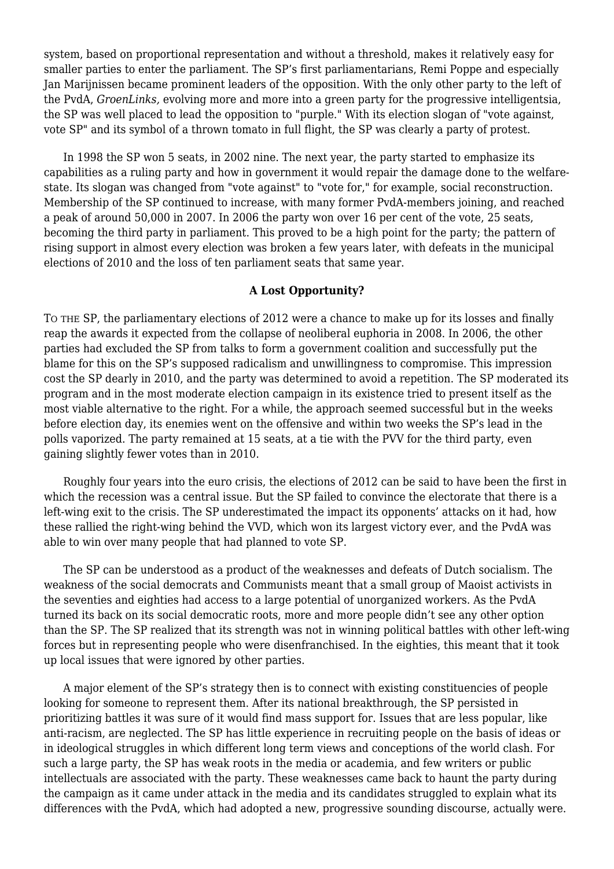system, based on proportional representation and without a threshold, makes it relatively easy for smaller parties to enter the parliament. The SP's first parliamentarians, Remi Poppe and especially Jan Marijnissen became prominent leaders of the opposition. With the only other party to the left of the PvdA, *GroenLinks,* evolving more and more into a green party for the progressive intelligentsia, the SP was well placed to lead the opposition to "purple." With its election slogan of "vote against, vote SP" and its symbol of a thrown tomato in full flight, the SP was clearly a party of protest.

 In 1998 the SP won 5 seats, in 2002 nine. The next year, the party started to emphasize its capabilities as a ruling party and how in government it would repair the damage done to the welfarestate. Its slogan was changed from "vote against" to "vote for," for example, social reconstruction. Membership of the SP continued to increase, with many former PvdA-members joining, and reached a peak of around 50,000 in 2007. In 2006 the party won over 16 per cent of the vote, 25 seats, becoming the third party in parliament. This proved to be a high point for the party; the pattern of rising support in almost every election was broken a few years later, with defeats in the municipal elections of 2010 and the loss of ten parliament seats that same year.

### **A Lost Opportunity?**

TO THE SP, the parliamentary elections of 2012 were a chance to make up for its losses and finally reap the awards it expected from the collapse of neoliberal euphoria in 2008. In 2006, the other parties had excluded the SP from talks to form a government coalition and successfully put the blame for this on the SP's supposed radicalism and unwillingness to compromise. This impression cost the SP dearly in 2010, and the party was determined to avoid a repetition. The SP moderated its program and in the most moderate election campaign in its existence tried to present itself as the most viable alternative to the right. For a while, the approach seemed successful but in the weeks before election day, its enemies went on the offensive and within two weeks the SP's lead in the polls vaporized. The party remained at 15 seats, at a tie with the PVV for the third party, even gaining slightly fewer votes than in 2010.

 Roughly four years into the euro crisis, the elections of 2012 can be said to have been the first in which the recession was a central issue. But the SP failed to convince the electorate that there is a left-wing exit to the crisis. The SP underestimated the impact its opponents' attacks on it had, how these rallied the right-wing behind the VVD, which won its largest victory ever, and the PvdA was able to win over many people that had planned to vote SP.

 The SP can be understood as a product of the weaknesses and defeats of Dutch socialism. The weakness of the social democrats and Communists meant that a small group of Maoist activists in the seventies and eighties had access to a large potential of unorganized workers. As the PvdA turned its back on its social democratic roots, more and more people didn't see any other option than the SP. The SP realized that its strength was not in winning political battles with other left-wing forces but in representing people who were disenfranchised. In the eighties, this meant that it took up local issues that were ignored by other parties.

 A major element of the SP's strategy then is to connect with existing constituencies of people looking for someone to represent them. After its national breakthrough, the SP persisted in prioritizing battles it was sure of it would find mass support for. Issues that are less popular, like anti-racism, are neglected. The SP has little experience in recruiting people on the basis of ideas or in ideological struggles in which different long term views and conceptions of the world clash. For such a large party, the SP has weak roots in the media or academia, and few writers or public intellectuals are associated with the party. These weaknesses came back to haunt the party during the campaign as it came under attack in the media and its candidates struggled to explain what its differences with the PvdA, which had adopted a new, progressive sounding discourse, actually were.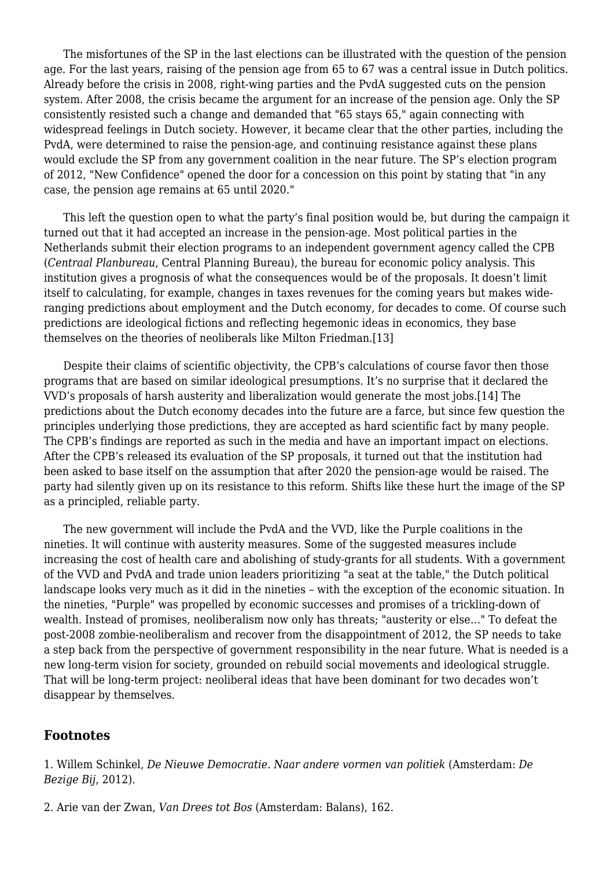The misfortunes of the SP in the last elections can be illustrated with the question of the pension age. For the last years, raising of the pension age from 65 to 67 was a central issue in Dutch politics. Already before the crisis in 2008, right-wing parties and the PvdA suggested cuts on the pension system. After 2008, the crisis became the argument for an increase of the pension age. Only the SP consistently resisted such a change and demanded that "65 stays 65," again connecting with widespread feelings in Dutch society. However, it became clear that the other parties, including the PvdA, were determined to raise the pension-age, and continuing resistance against these plans would exclude the SP from any government coalition in the near future. The SP's election program of 2012, "New Confidence" opened the door for a concession on this point by stating that "in any case, the pension age remains at 65 until 2020."

 This left the question open to what the party's final position would be, but during the campaign it turned out that it had accepted an increase in the pension-age. Most political parties in the Netherlands submit their election programs to an independent government agency called the CPB (*Centraal Planbureau*, Central Planning Bureau), the bureau for economic policy analysis. This institution gives a prognosis of what the consequences would be of the proposals. It doesn't limit itself to calculating, for example, changes in taxes revenues for the coming years but makes wideranging predictions about employment and the Dutch economy, for decades to come. Of course such predictions are ideological fictions and reflecting hegemonic ideas in economics, they base themselves on the theories of neoliberals like Milton Friedman.[13]

 Despite their claims of scientific objectivity, the CPB's calculations of course favor then those programs that are based on similar ideological presumptions. It's no surprise that it declared the VVD's proposals of harsh austerity and liberalization would generate the most jobs.[14] The predictions about the Dutch economy decades into the future are a farce, but since few question the principles underlying those predictions, they are accepted as hard scientific fact by many people. The CPB's findings are reported as such in the media and have an important impact on elections. After the CPB's released its evaluation of the SP proposals, it turned out that the institution had been asked to base itself on the assumption that after 2020 the pension-age would be raised. The party had silently given up on its resistance to this reform. Shifts like these hurt the image of the SP as a principled, reliable party.

 The new government will include the PvdA and the VVD, like the Purple coalitions in the nineties. It will continue with austerity measures. Some of the suggested measures include increasing the cost of health care and abolishing of study-grants for all students. With a government of the VVD and PvdA and trade union leaders prioritizing "a seat at the table," the Dutch political landscape looks very much as it did in the nineties – with the exception of the economic situation. In the nineties, "Purple" was propelled by economic successes and promises of a trickling-down of wealth. Instead of promises, neoliberalism now only has threats; "austerity or else…" To defeat the post-2008 zombie-neoliberalism and recover from the disappointment of 2012, the SP needs to take a step back from the perspective of government responsibility in the near future. What is needed is a new long-term vision for society, grounded on rebuild social movements and ideological struggle. That will be long-term project: neoliberal ideas that have been dominant for two decades won't disappear by themselves.

## **Footnotes**

1. Willem Schinkel, *De Nieuwe Democratie. Naar andere vormen van politiek* (Amsterdam: *De Bezige Bij*, 2012).

2. Arie van der Zwan, *Van Drees tot Bos* (Amsterdam: Balans), 162.